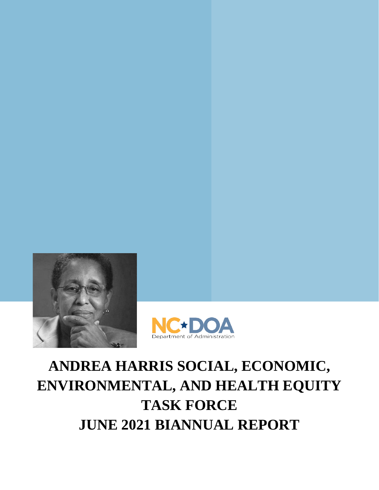



# **ANDREA HARRIS SOCIAL, ECONOMIC, ENVIRONMENTAL, AND HEALTH EQUITY TASK FORCE JUNE 2021 BIANNUAL REPORT**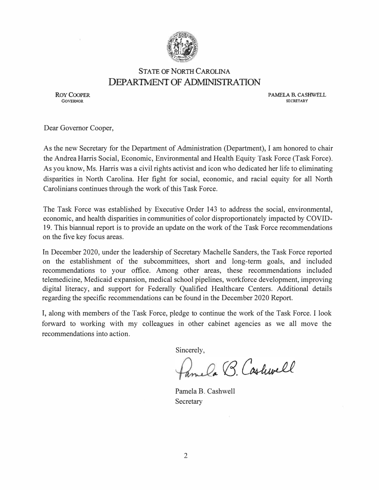

#### **STATE OF NORTH CAROLINA DEPARTMENT OF ADMINISTRATION**

**ROY COOPER**  GOVERNOR

**PAMELA B. CASHWELL SECRETARY** 

Dear Governor Cooper,

As the new Secretary for the Department of Administration (Department), I am honored to chair the Andrea Harris Social, Economic, Environmental and Health Equity Task Force (Task Force). As you know, Ms. Harris was a civil rights activist and icon who dedicated her life to eliminating disparities in North Carolina. Her fight for social, economic, and racial equity for all North Carolinians continues through the work of this Task Force.

The Task Force was established by Executive Order 143 to address the social, environmental, economic, and health disparities in communities of color disproportionately impacted by COVID-19. This biannual report is to provide an update on the work of the Task Force recommendations on the five key focus areas.

In December 2020, under the leadership of Secretary Machelle Sanders, the Task Force reported on the establishment of the subcommittees, short and long-term goals, and included recommendations to your office. Among other areas, these recommendations included telemedicine, Medicaid expansion, medical school pipelines, workforce development, improving digital literacy, and support for Federally Qualified Healthcare Centers. Additional details regarding the specific recommendations can be found in the December 2020 Report.

I, along with members of the Task Force, pledge to continue the work of the Task Force. I look forward to working with my colleagues in other cabinet agencies as we all move the recommendations into action.

Sincerely,

mela B. Cashwell

Pamela B. Cashwell **Secretary**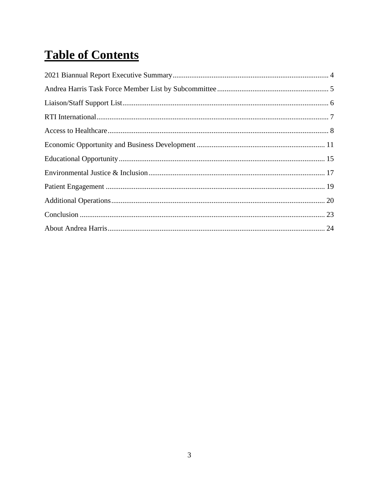# **Table of Contents**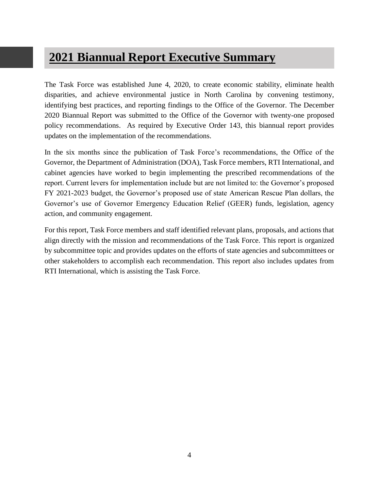### **2021 Biannual Report Executive Summary**

The Task Force was established June 4, 2020, to create economic stability, eliminate health disparities, and achieve environmental justice in North Carolina by convening testimony, identifying best practices, and reporting findings to the Office of the Governor. The December 2020 Biannual Report was submitted to the Office of the Governor with twenty-one proposed policy recommendations. As required by Executive Order 143, this biannual report provides updates on the implementation of the recommendations.

In the six months since the publication of Task Force's recommendations, the Office of the Governor, the Department of Administration (DOA), Task Force members, RTI International, and cabinet agencies have worked to begin implementing the prescribed recommendations of the report. Current levers for implementation include but are not limited to: the Governor's proposed FY 2021-2023 budget, the Governor's proposed use of state American Rescue Plan dollars, the Governor's use of Governor Emergency Education Relief (GEER) funds, legislation, agency action, and community engagement.

For this report, Task Force members and staff identified relevant plans, proposals, and actions that align directly with the mission and recommendations of the Task Force. This report is organized by subcommittee topic and provides updates on the efforts of state agencies and subcommittees or other stakeholders to accomplish each recommendation. This report also includes updates from RTI International, which is assisting the Task Force.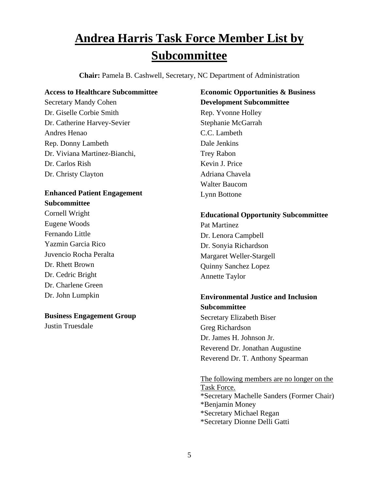# **Andrea Harris Task Force Member List by Subcommittee**

**Chair:** Pamela B. Cashwell, Secretary, NC Department of Administration

#### **Access to Healthcare Subcommittee**

Secretary Mandy Cohen Dr. Giselle Corbie Smith Dr. Catherine Harvey-Sevier Andres Henao Rep. Donny Lambeth Dr. Viviana Martinez-Bianchi, Dr. Carlos Rish Dr. Christy Clayton

#### **Enhanced Patient Engagement Subcommittee**

Cornell Wright Eugene Woods Fernando Little Yazmin Garcia Rico Juvencio Rocha Peralta Dr. Rhett Brown Dr. Cedric Bright Dr. Charlene Green Dr. John Lumpkin

#### **Business Engagement Group**

Justin Truesdale

**Economic Opportunities & Business Development Subcommittee** Rep. Yvonne Holley Stephanie McGarrah C.C. Lambeth Dale Jenkins Trey Rabon Kevin J. Price Adriana Chavela Walter Baucom Lynn Bottone

#### **Educational Opportunity Subcommittee**

Pat Martinez Dr. Lenora Campbell Dr. Sonyia Richardson Margaret Weller-Stargell Quinny Sanchez Lopez Annette Taylor

#### **Environmental Justice and Inclusion Subcommittee**

Secretary Elizabeth Biser Greg Richardson Dr. James H. Johnson Jr. Reverend Dr. Jonathan Augustine Reverend Dr. T. Anthony Spearman

The following members are no longer on the Task Force. \*Secretary Machelle Sanders (Former Chair) \*Benjamin Money \*Secretary Michael Regan \*Secretary Dionne Delli Gatti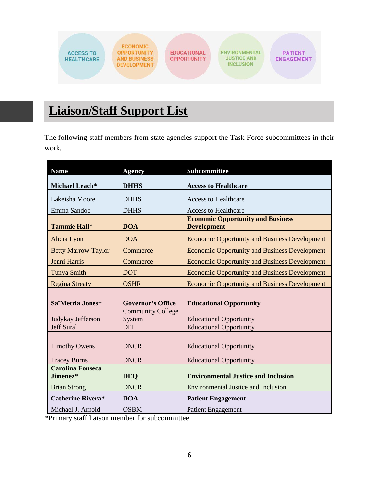

# **Liaison/Staff Support List**

The following staff members from state agencies support the Task Force subcommittees in their work.

| <b>Name</b>                         | <b>Agency</b>            | <b>Subcommittee</b>                                            |
|-------------------------------------|--------------------------|----------------------------------------------------------------|
| Michael Leach*                      | <b>DHHS</b>              | <b>Access to Healthcare</b>                                    |
| Lakeisha Moore                      | <b>DHHS</b>              | <b>Access to Healthcare</b>                                    |
| Emma Sandoe                         | <b>DHHS</b>              | <b>Access to Healthcare</b>                                    |
| Tammie Hall*                        | <b>DOA</b>               | <b>Economic Opportunity and Business</b><br><b>Development</b> |
| Alicia Lyon                         | <b>DOA</b>               | <b>Economic Opportunity and Business Development</b>           |
| <b>Betty Marrow-Taylor</b>          | Commerce                 | <b>Economic Opportunity and Business Development</b>           |
| Jenni Harris                        | Commerce                 | <b>Economic Opportunity and Business Development</b>           |
| <b>Tunya Smith</b>                  | <b>DOT</b>               | <b>Economic Opportunity and Business Development</b>           |
| <b>Regina Streaty</b>               | <b>OSHR</b>              | <b>Economic Opportunity and Business Development</b>           |
| Sa'Metria Jones*                    | <b>Governor's Office</b> | <b>Educational Opportunity</b>                                 |
|                                     | <b>Community College</b> |                                                                |
| Judykay Jefferson                   | System                   | <b>Educational Opportunity</b>                                 |
| <b>Jeff Sural</b>                   | <b>DIT</b>               | <b>Educational Opportunity</b>                                 |
| <b>Timothy Owens</b>                | <b>DNCR</b>              | <b>Educational Opportunity</b>                                 |
| <b>Tracey Burns</b>                 | <b>DNCR</b>              | <b>Educational Opportunity</b>                                 |
| <b>Carolina Fonseca</b><br>Jimenez* | <b>DEO</b>               | <b>Environmental Justice and Inclusion</b>                     |
| <b>Brian Strong</b>                 | <b>DNCR</b>              | <b>Environmental Justice and Inclusion</b>                     |
| <b>Catherine Rivera*</b>            | <b>DOA</b>               | <b>Patient Engagement</b>                                      |
| Michael J. Arnold                   | <b>OSBM</b>              | <b>Patient Engagement</b>                                      |

\*Primary staff liaison member for subcommittee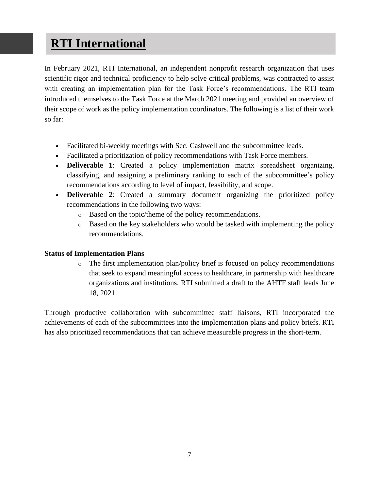### **RTI International**

In February 2021, RTI International, an independent nonprofit research organization that uses scientific rigor and technical proficiency to help solve critical problems, was contracted to assist with creating an implementation plan for the Task Force's recommendations. The RTI team introduced themselves to the Task Force at the March 2021 meeting and provided an overview of their scope of work as the policy implementation coordinators. The following is a list of their work so far:

- Facilitated bi-weekly meetings with Sec. Cashwell and the subcommittee leads.
- Facilitated a prioritization of policy recommendations with Task Force members.
- **Deliverable 1**: Created a policy implementation matrix spreadsheet organizing, classifying, and assigning a preliminary ranking to each of the subcommittee's policy recommendations according to level of impact, feasibility, and scope.
- **Deliverable 2**: Created a summary document organizing the prioritized policy recommendations in the following two ways:
	- o Based on the topic/theme of the policy recommendations.
	- o Based on the key stakeholders who would be tasked with implementing the policy recommendations.

#### **Status of Implementation Plans**

 $\circ$  The first implementation plan/policy brief is focused on policy recommendations that seek to expand meaningful access to healthcare, in partnership with healthcare organizations and institutions. RTI submitted a draft to the AHTF staff leads June 18, 2021.

Through productive collaboration with subcommittee staff liaisons, RTI incorporated the achievements of each of the subcommittees into the implementation plans and policy briefs. RTI has also prioritized recommendations that can achieve measurable progress in the short-term.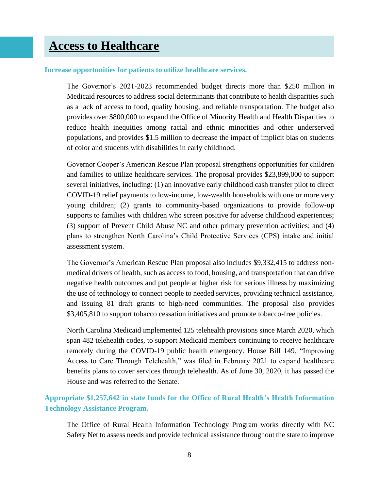#### **Increase opportunities for patients to utilize healthcare services.**

The Governor's 2021-2023 recommended budget directs more than \$250 million in Medicaid resources to address social determinants that contribute to health disparities such as a lack of access to food, quality housing, and reliable transportation. The budget also provides over \$800,000 to expand the Office of Minority Health and Health Disparities to reduce health inequities among racial and ethnic minorities and other underserved populations, and provides \$1.5 million to decrease the impact of implicit bias on students of color and students with disabilities in early childhood.

Governor Cooper's American Rescue Plan proposal strengthens opportunities for children and families to utilize healthcare services. The proposal provides \$23,899,000 to support several initiatives, including: (1) an innovative early childhood cash transfer pilot to direct COVID-19 relief payments to low-income, low-wealth households with one or more very young children; (2) grants to community-based organizations to provide follow-up supports to families with children who screen positive for adverse childhood experiences; (3) support of Prevent Child Abuse NC and other primary prevention activities; and (4) plans to strengthen North Carolina's Child Protective Services (CPS) intake and initial assessment system.

The Governor's American Rescue Plan proposal also includes \$9,332,415 to address nonmedical drivers of health, such as access to food, housing, and transportation that can drive negative health outcomes and put people at higher risk for serious illness by maximizing the use of technology to connect people to needed services, providing technical assistance, and issuing 81 draft grants to high-need communities. The proposal also provides \$3,405,810 to support tobacco cessation initiatives and promote tobacco-free policies.

North Carolina Medicaid implemented 125 telehealth provisions since March 2020, which span 482 telehealth codes, to support Medicaid members continuing to receive healthcare remotely during the COVID-19 public health emergency. House Bill 149, "Improving Access to Care Through Telehealth," was filed in February 2021 to expand healthcare benefits plans to cover services through telehealth. As of June 30, 2020, it has passed the House and was referred to the Senate.

#### **Appropriate \$1,257,642 in state funds for the Office of Rural Health's Health Information Technology Assistance Program.**

The Office of Rural Health Information Technology Program works directly with NC Safety Net to assess needs and provide technical assistance throughout the state to improve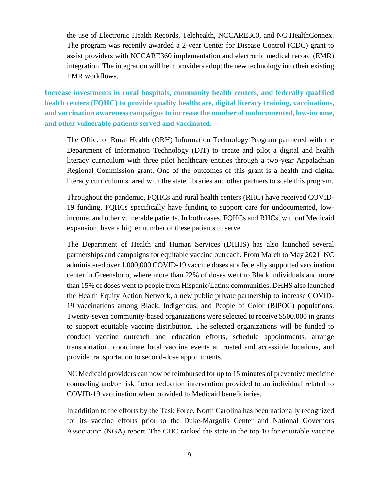the use of Electronic Health Records, Telehealth, NCCARE360, and NC HealthConnex. The program was recently awarded a 2-year Center for Disease Control (CDC) grant to assist providers with NCCARE360 implementation and electronic medical record (EMR) integration. The integration will help providers adopt the new technology into their existing EMR workflows.

**Increase investments in rural hospitals, community health centers, and federally qualified health centers (FQHC) to provide quality healthcare, digital literacy training, vaccinations, and vaccination awareness campaigns to increase the number of undocumented, low-income, and other vulnerable patients served and vaccinated.**

The Office of Rural Health (ORH) Information Technology Program partnered with the Department of Information Technology (DIT) to create and pilot a digital and health literacy curriculum with three pilot healthcare entities through a two-year Appalachian Regional Commission grant. One of the outcomes of this grant is a health and digital literacy curriculum shared with the state libraries and other partners to scale this program.

Throughout the pandemic, FQHCs and rural health centers (RHC) have received COVID-19 funding. FQHCs specifically have funding to support care for undocumented, lowincome, and other vulnerable patients. In both cases, FQHCs and RHCs, without Medicaid expansion, have a higher number of these patients to serve.

The Department of Health and Human Services (DHHS) has also launched several partnerships and campaigns for equitable vaccine outreach. From March to May 2021, NC administered over 1,000,000 COVID-19 vaccine doses at a federally supported vaccination center in Greensboro, where more than 22% of doses went to Black individuals and more than 15% of doses went to people from Hispanic/Latinx communities. DHHS also launched the Health Equity Action Network, a new public private partnership to increase COVID-19 vaccinations among Black, Indigenous, and People of Color (BIPOC) populations. Twenty-seven community-based organizations were selected to receive \$500,000 in grants to support equitable vaccine distribution. The selected organizations will be funded to conduct vaccine outreach and education efforts, schedule appointments, arrange transportation, coordinate local vaccine events at trusted and accessible locations, and provide transportation to second-dose appointments.

NC Medicaid providers can now be reimbursed for up to 15 minutes of preventive medicine counseling and/or risk factor reduction intervention provided to an individual related to COVID-19 vaccination when provided to Medicaid beneficiaries.

In addition to the efforts by the Task Force, North Carolina has been nationally recognized for its vaccine efforts prior to the Duke-Margolis Center and National Governors Association (NGA) report. The CDC ranked the state in the top 10 for equitable vaccine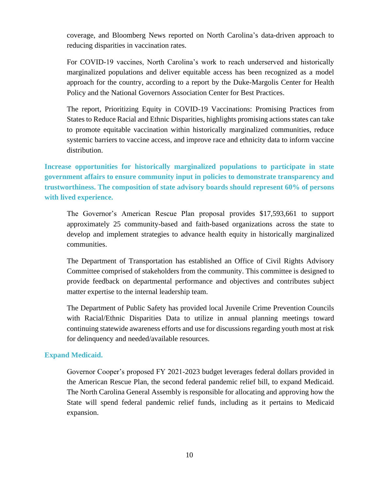coverage, and Bloomberg News reported on North Carolina's data-driven approach to reducing disparities in vaccination rates.

For COVID-19 vaccines, North Carolina's work to reach underserved and historically marginalized populations and deliver equitable access has been recognized as a model approach for the country, according to a report by the Duke-Margolis Center for Health Policy and the National Governors Association Center for Best Practices.

The report, Prioritizing Equity in COVID-19 Vaccinations: Promising Practices from States to Reduce Racial and Ethnic Disparities, highlights promising actions states can take to promote equitable vaccination within historically marginalized communities, reduce systemic barriers to vaccine access, and improve race and ethnicity data to inform vaccine distribution.

**Increase opportunities for historically marginalized populations to participate in state government affairs to ensure community input in policies to demonstrate transparency and trustworthiness. The composition of state advisory boards should represent 60% of persons with lived experience.**

The Governor's American Rescue Plan proposal provides \$17,593,661 to support approximately 25 community-based and faith-based organizations across the state to develop and implement strategies to advance health equity in historically marginalized communities.

The Department of Transportation has established an Office of Civil Rights Advisory Committee comprised of stakeholders from the community. This committee is designed to provide feedback on departmental performance and objectives and contributes subject matter expertise to the internal leadership team.

The Department of Public Safety has provided local Juvenile Crime Prevention Councils with Racial/Ethnic Disparities Data to utilize in annual planning meetings toward continuing statewide awareness efforts and use for discussions regarding youth most at risk for delinquency and needed/available resources.

#### **Expand Medicaid.**

Governor Cooper's proposed FY 2021-2023 budget leverages federal dollars provided in the American Rescue Plan, the second federal pandemic relief bill, to expand Medicaid. The North Carolina General Assembly is responsible for allocating and approving how the State will spend federal pandemic relief funds, including as it pertains to Medicaid expansion.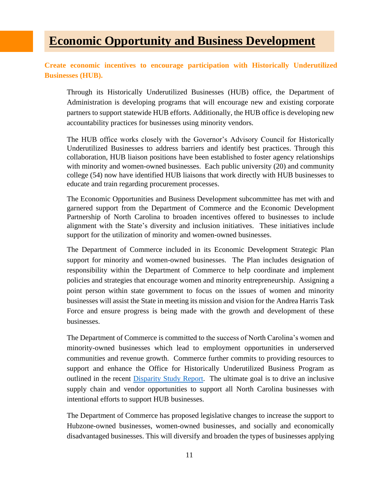### **Economic Opportunity and Business Development**

**Create economic incentives to encourage participation with Historically Underutilized Businesses (HUB).**

Through its Historically Underutilized Businesses (HUB) office, the Department of Administration is developing programs that will encourage new and existing corporate partners to support statewide HUB efforts. Additionally, the HUB office is developing new accountability practices for businesses using minority vendors.

The HUB office works closely with the Governor's Advisory Council for Historically Underutilized Businesses to address barriers and identify best practices. Through this collaboration, HUB liaison positions have been established to foster agency relationships with minority and women-owned businesses. Each public university (20) and community college (54) now have identified HUB liaisons that work directly with HUB businesses to educate and train regarding procurement processes.

The Economic Opportunities and Business Development subcommittee has met with and garnered support from the Department of Commerce and the Economic Development Partnership of North Carolina to broaden incentives offered to businesses to include alignment with the State's diversity and inclusion initiatives. These initiatives include support for the utilization of minority and women-owned businesses.

The Department of Commerce included in its Economic Development Strategic Plan support for minority and women-owned businesses. The Plan includes designation of responsibility within the Department of Commerce to help coordinate and implement policies and strategies that encourage women and minority entrepreneurship. Assigning a point person within state government to focus on the issues of women and minority businesses will assist the State in meeting its mission and vision for the Andrea Harris Task Force and ensure progress is being made with the growth and development of these businesses.

The Department of Commerce is committed to the success of North Carolina's women and minority-owned businesses which lead to employment opportunities in underserved communities and revenue growth. Commerce further commits to providing resources to support and enhance the Office for Historically Underutilized Business Program as outlined in the recent **Disparity Study Report**. The ultimate goal is to drive an inclusive supply chain and vendor opportunities to support all North Carolina businesses with intentional efforts to support HUB businesses.

The Department of Commerce has proposed legislative changes to increase the support to Hubzone-owned businesses, women-owned businesses, and socially and economically disadvantaged businesses. This will diversify and broaden the types of businesses applying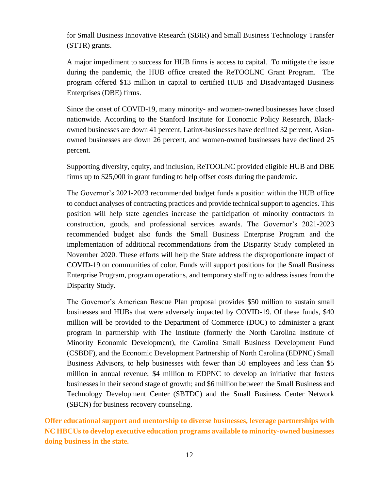for Small Business Innovative Research (SBIR) and Small Business Technology Transfer (STTR) grants.

A major impediment to success for HUB firms is access to capital. To mitigate the issue during the pandemic, the HUB office created the ReTOOLNC Grant Program. The program offered \$13 million in capital to certified HUB and Disadvantaged Business Enterprises (DBE) firms.

Since the onset of COVID-19, many minority- and women-owned businesses have closed nationwide. According to the Stanford Institute for Economic Policy Research, Blackowned businesses are down 41 percent, Latinx-businesses have declined 32 percent, Asianowned businesses are down 26 percent, and women-owned businesses have declined 25 percent.

Supporting diversity, equity, and inclusion, ReTOOLNC provided eligible HUB and DBE firms up to \$25,000 in grant funding to help offset costs during the pandemic.

The Governor's 2021-2023 recommended budget funds a position within the HUB office to conduct analyses of contracting practices and provide technical support to agencies. This position will help state agencies increase the participation of minority contractors in construction, goods, and professional services awards. The Governor's 2021-2023 recommended budget also funds the Small Business Enterprise Program and the implementation of additional recommendations from the Disparity Study completed in November 2020. These efforts will help the State address the disproportionate impact of COVID-19 on communities of color. Funds will support positions for the Small Business Enterprise Program, program operations, and temporary staffing to address issues from the Disparity Study.

The Governor's American Rescue Plan proposal provides \$50 million to sustain small businesses and HUBs that were adversely impacted by COVID-19. Of these funds, \$40 million will be provided to the Department of Commerce (DOC) to administer a grant program in partnership with The Institute (formerly the North Carolina Institute of Minority Economic Development), the Carolina Small Business Development Fund (CSBDF), and the Economic Development Partnership of North Carolina (EDPNC) Small Business Advisors, to help businesses with fewer than 50 employees and less than \$5 million in annual revenue; \$4 million to EDPNC to develop an initiative that fosters businesses in their second stage of growth; and \$6 million between the Small Business and Technology Development Center (SBTDC) and the Small Business Center Network (SBCN) for business recovery counseling.

**Offer educational support and mentorship to diverse businesses, leverage partnerships with NC HBCUs to develop executive education programs available to minority-owned businesses doing business in the state.**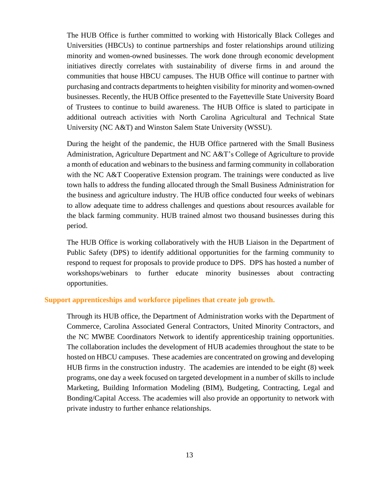The HUB Office is further committed to working with Historically Black Colleges and Universities (HBCUs) to continue partnerships and foster relationships around utilizing minority and women-owned businesses. The work done through economic development initiatives directly correlates with sustainability of diverse firms in and around the communities that house HBCU campuses. The HUB Office will continue to partner with purchasing and contracts departments to heighten visibility for minority and women-owned businesses. Recently, the HUB Office presented to the Fayetteville State University Board of Trustees to continue to build awareness. The HUB Office is slated to participate in additional outreach activities with North Carolina Agricultural and Technical State University (NC A&T) and Winston Salem State University (WSSU).

During the height of the pandemic, the HUB Office partnered with the Small Business Administration, Agriculture Department and NC A&T's College of Agriculture to provide a month of education and webinars to the business and farming community in collaboration with the NC A&T Cooperative Extension program. The trainings were conducted as live town halls to address the funding allocated through the Small Business Administration for the business and agriculture industry. The HUB office conducted four weeks of webinars to allow adequate time to address challenges and questions about resources available for the black farming community. HUB trained almost two thousand businesses during this period.

The HUB Office is working collaboratively with the HUB Liaison in the Department of Public Safety (DPS) to identify additional opportunities for the farming community to respond to request for proposals to provide produce to DPS. DPS has hosted a number of workshops/webinars to further educate minority businesses about contracting opportunities.

#### **Support apprenticeships and workforce pipelines that create job growth.**

Through its HUB office, the Department of Administration works with the Department of Commerce, Carolina Associated General Contractors, United Minority Contractors, and the NC MWBE Coordinators Network to identify apprenticeship training opportunities. The collaboration includes the development of HUB academies throughout the state to be hosted on HBCU campuses. These academies are concentrated on growing and developing HUB firms in the construction industry. The academies are intended to be eight (8) week programs, one day a week focused on targeted development in a number of skills to include Marketing, Building Information Modeling (BIM), Budgeting, Contracting, Legal and Bonding/Capital Access. The academies will also provide an opportunity to network with private industry to further enhance relationships.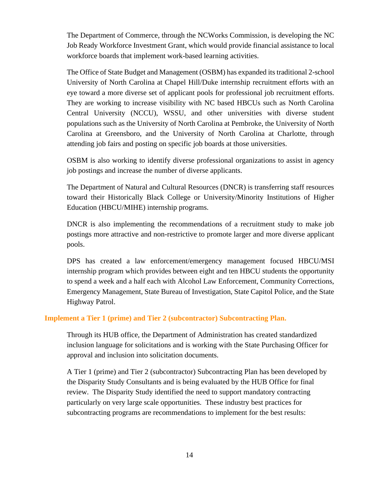The Department of Commerce, through the NCWorks Commission, is developing the NC Job Ready Workforce Investment Grant, which would provide financial assistance to local workforce boards that implement work-based learning activities.

The Office of State Budget and Management (OSBM) has expanded its traditional 2-school University of North Carolina at Chapel Hill/Duke internship recruitment efforts with an eye toward a more diverse set of applicant pools for professional job recruitment efforts. They are working to increase visibility with NC based HBCUs such as North Carolina Central University (NCCU), WSSU, and other universities with diverse student populations such as the University of North Carolina at Pembroke, the University of North Carolina at Greensboro, and the University of North Carolina at Charlotte, through attending job fairs and posting on specific job boards at those universities.

OSBM is also working to identify diverse professional organizations to assist in agency job postings and increase the number of diverse applicants.

The Department of Natural and Cultural Resources (DNCR) is transferring staff resources toward their Historically Black College or University/Minority Institutions of Higher Education (HBCU/MIHE) internship programs.

DNCR is also implementing the recommendations of a recruitment study to make job postings more attractive and non-restrictive to promote larger and more diverse applicant pools.

DPS has created a law enforcement/emergency management focused HBCU/MSI internship program which provides between eight and ten HBCU students the opportunity to spend a week and a half each with Alcohol Law Enforcement, Community Corrections, Emergency Management, State Bureau of Investigation, State Capitol Police, and the State Highway Patrol.

#### **Implement a Tier 1 (prime) and Tier 2 (subcontractor) Subcontracting Plan.**

Through its HUB office, the Department of Administration has created standardized inclusion language for solicitations and is working with the State Purchasing Officer for approval and inclusion into solicitation documents.

A Tier 1 (prime) and Tier 2 (subcontractor) Subcontracting Plan has been developed by the Disparity Study Consultants and is being evaluated by the HUB Office for final review. The Disparity Study identified the need to support mandatory contracting particularly on very large scale opportunities. These industry best practices for subcontracting programs are recommendations to implement for the best results: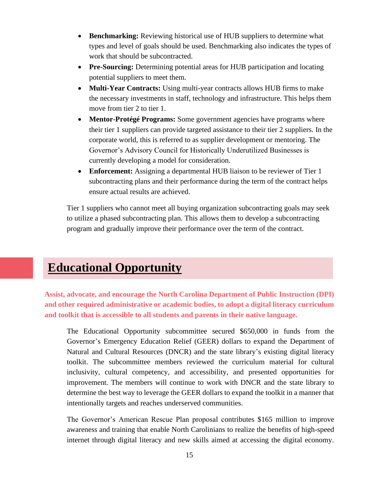- **Benchmarking:** Reviewing historical use of HUB suppliers to determine what types and level of goals should be used. Benchmarking also indicates the types of work that should be subcontracted.
- **Pre-Sourcing:** Determining potential areas for HUB participation and locating potential suppliers to meet them.
- **Multi-Year Contracts:** Using multi-year contracts allows HUB firms to make the necessary investments in staff, technology and infrastructure. This helps them move from tier 2 to tier 1.
- **Mentor-Protégé Programs:** Some government agencies have programs where their tier 1 suppliers can provide targeted assistance to their tier 2 suppliers. In the corporate world, this is referred to as supplier development or mentoring. The Governor's Advisory Council for Historically Underutilized Businesses is currently developing a model for consideration.
- **Enforcement:** Assigning a departmental HUB liaison to be reviewer of Tier 1 subcontracting plans and their performance during the term of the contract helps ensure actual results are achieved.

Tier 1 suppliers who cannot meet all buying organization subcontracting goals may seek to utilize a phased subcontracting plan. This allows them to develop a subcontracting program and gradually improve their performance over the term of the contract.

### **Educational Opportunity**

**Assist, advocate, and encourage the North Carolina Department of Public Instruction (DPI) and other required administrative or academic bodies, to adopt a digital literacy curriculum and toolkit that is accessible to all students and parents in their native language.**

The Educational Opportunity subcommittee secured \$650,000 in funds from the Governor's Emergency Education Relief (GEER) dollars to expand the Department of Natural and Cultural Resources (DNCR) and the state library's existing digital literacy toolkit. The subcommittee members reviewed the curriculum material for cultural inclusivity, cultural competency, and accessibility, and presented opportunities for improvement. The members will continue to work with DNCR and the state library to determine the best way to leverage the GEER dollars to expand the toolkit in a manner that intentionally targets and reaches underserved communities.

The Governor's American Rescue Plan proposal contributes \$165 million to improve awareness and training that enable North Carolinians to realize the benefits of high-speed internet through digital literacy and new skills aimed at accessing the digital economy.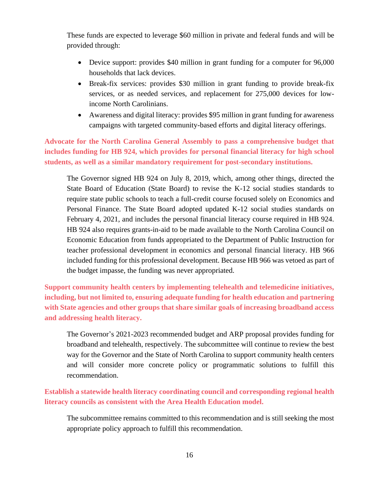These funds are expected to leverage \$60 million in private and federal funds and will be provided through:

- Device support: provides \$40 million in grant funding for a computer for 96,000 households that lack devices.
- Break-fix services: provides \$30 million in grant funding to provide break-fix services, or as needed services, and replacement for 275,000 devices for lowincome North Carolinians.
- Awareness and digital literacy: provides \$95 million in grant funding for awareness campaigns with targeted community-based efforts and digital literacy offerings.

**Advocate for the North Carolina General Assembly to pass a comprehensive budget that includes funding for HB 924, which provides for personal financial literacy for high school students, as well as a similar mandatory requirement for post-secondary institutions.**

The Governor signed HB 924 on July 8, 2019, which, among other things, directed the State Board of Education (State Board) to revise the K-12 social studies standards to require state public schools to teach a full-credit course focused solely on Economics and Personal Finance. The State Board adopted updated K-12 social studies standards on February 4, 2021, and includes the personal financial literacy course required in HB 924. HB 924 also requires grants-in-aid to be made available to the North Carolina Council on Economic Education from funds appropriated to the Department of Public Instruction for teacher professional development in economics and personal financial literacy. HB 966 included funding for this professional development. Because HB 966 was vetoed as part of the budget impasse, the funding was never appropriated.

**Support community health centers by implementing telehealth and telemedicine initiatives, including, but not limited to, ensuring adequate funding for health education and partnering with State agencies and other groups that share similar goals of increasing broadband access and addressing health literacy.**

The Governor's 2021-2023 recommended budget and ARP proposal provides funding for broadband and telehealth, respectively. The subcommittee will continue to review the best way for the Governor and the State of North Carolina to support community health centers and will consider more concrete policy or programmatic solutions to fulfill this recommendation.

**Establish a statewide health literacy coordinating council and corresponding regional health literacy councils as consistent with the Area Health Education model.**

The subcommittee remains committed to this recommendation and is still seeking the most appropriate policy approach to fulfill this recommendation.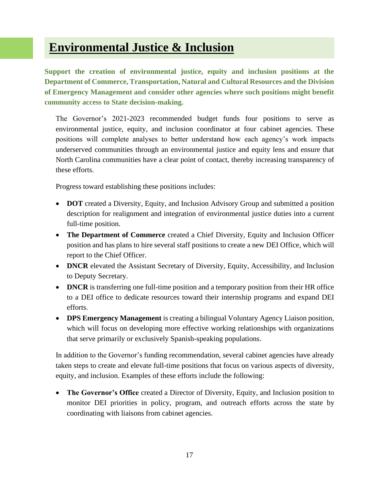### **Environmental Justice & Inclusion**

**Support the creation of environmental justice, equity and inclusion positions at the Department of Commerce, Transportation, Natural and Cultural Resources and the Division of Emergency Management and consider other agencies where such positions might benefit community access to State decision-making.**

The Governor's 2021-2023 recommended budget funds four positions to serve as environmental justice, equity, and inclusion coordinator at four cabinet agencies. These positions will complete analyses to better understand how each agency's work impacts underserved communities through an environmental justice and equity lens and ensure that North Carolina communities have a clear point of contact, thereby increasing transparency of these efforts.

Progress toward establishing these positions includes:

- **DOT** created a Diversity, Equity, and Inclusion Advisory Group and submitted a position description for realignment and integration of environmental justice duties into a current full-time position.
- **The Department of Commerce** created a Chief Diversity, Equity and Inclusion Officer position and has plans to hire several staff positions to create a new DEI Office, which will report to the Chief Officer.
- **DNCR** elevated the Assistant Secretary of Diversity, Equity, Accessibility, and Inclusion to Deputy Secretary.
- **DNCR** is transferring one full-time position and a temporary position from their HR office to a DEI office to dedicate resources toward their internship programs and expand DEI efforts.
- **DPS Emergency Management** is creating a bilingual Voluntary Agency Liaison position, which will focus on developing more effective working relationships with organizations that serve primarily or exclusively Spanish-speaking populations.

In addition to the Governor's funding recommendation, several cabinet agencies have already taken steps to create and elevate full-time positions that focus on various aspects of diversity, equity, and inclusion. Examples of these efforts include the following:

• **The Governor's Office** created a Director of Diversity, Equity, and Inclusion position to monitor DEI priorities in policy, program, and outreach efforts across the state by coordinating with liaisons from cabinet agencies.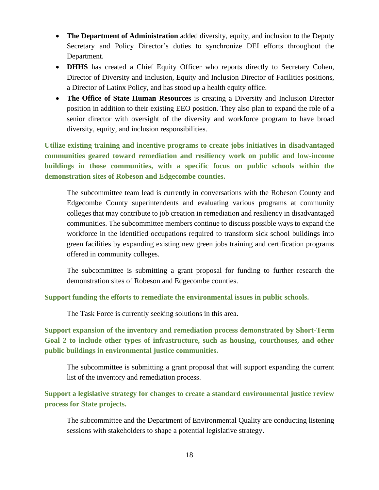- **The Department of Administration** added diversity, equity, and inclusion to the Deputy Secretary and Policy Director's duties to synchronize DEI efforts throughout the Department.
- **DHHS** has created a Chief Equity Officer who reports directly to Secretary Cohen, Director of Diversity and Inclusion, Equity and Inclusion Director of Facilities positions, a Director of Latinx Policy, and has stood up a health equity office.
- **The Office of State Human Resources** is creating a Diversity and Inclusion Director position in addition to their existing EEO position. They also plan to expand the role of a senior director with oversight of the diversity and workforce program to have broad diversity, equity, and inclusion responsibilities.

**Utilize existing training and incentive programs to create jobs initiatives in disadvantaged communities geared toward remediation and resiliency work on public and low-income buildings in those communities, with a specific focus on public schools within the demonstration sites of Robeson and Edgecombe counties.**

The subcommittee team lead is currently in conversations with the Robeson County and Edgecombe County superintendents and evaluating various programs at community colleges that may contribute to job creation in remediation and resiliency in disadvantaged communities. The subcommittee members continue to discuss possible ways to expand the workforce in the identified occupations required to transform sick school buildings into green facilities by expanding existing new green jobs training and certification programs offered in community colleges.

The subcommittee is submitting a grant proposal for funding to further research the demonstration sites of Robeson and Edgecombe counties.

**Support funding the efforts to remediate the environmental issues in public schools.**

The Task Force is currently seeking solutions in this area.

**Support expansion of the inventory and remediation process demonstrated by Short-Term Goal 2 to include other types of infrastructure, such as housing, courthouses, and other public buildings in environmental justice communities.**

The subcommittee is submitting a grant proposal that will support expanding the current list of the inventory and remediation process.

**Support a legislative strategy for changes to create a standard environmental justice review process for State projects.**

The subcommittee and the Department of Environmental Quality are conducting listening sessions with stakeholders to shape a potential legislative strategy.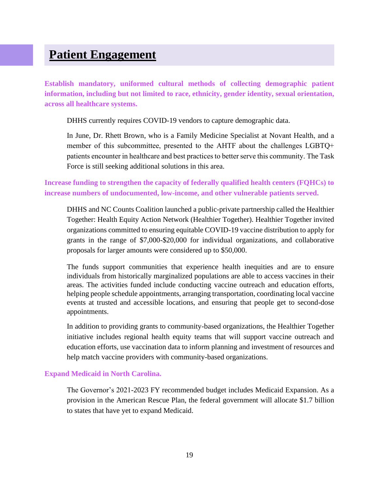### **Patient Engagement**

**Establish mandatory, uniformed cultural methods of collecting demographic patient information, including but not limited to race, ethnicity, gender identity, sexual orientation, across all healthcare systems.**

DHHS currently requires COVID-19 vendors to capture demographic data.

In June, Dr. Rhett Brown, who is a Family Medicine Specialist at Novant Health, and a member of this subcommittee, presented to the AHTF about the challenges LGBTQ+ patients encounter in healthcare and best practices to better serve this community. The Task Force is still seeking additional solutions in this area.

**Increase funding to strengthen the capacity of federally qualified health centers (FQHCs) to increase numbers of undocumented, low-income, and other vulnerable patients served.**

DHHS and NC Counts Coalition launched a public-private partnership called the Healthier Together: Health Equity Action Network (Healthier Together). Healthier Together invited organizations committed to ensuring equitable COVID-19 vaccine distribution to apply for grants in the range of \$7,000-\$20,000 for individual organizations, and collaborative proposals for larger amounts were considered up to \$50,000.

The funds support communities that experience health inequities and are to ensure individuals from historically marginalized populations are able to access vaccines in their areas. The activities funded include conducting vaccine outreach and education efforts, helping people schedule appointments, arranging transportation, coordinating local vaccine events at trusted and accessible locations, and ensuring that people get to second-dose appointments.

In addition to providing grants to community-based organizations, the Healthier Together initiative includes regional health equity teams that will support vaccine outreach and education efforts, use vaccination data to inform planning and investment of resources and help match vaccine providers with community-based organizations.

#### **Expand Medicaid in North Carolina.**

The Governor's 2021-2023 FY recommended budget includes Medicaid Expansion. As a provision in the American Rescue Plan, the federal government will allocate \$1.7 billion to states that have yet to expand Medicaid.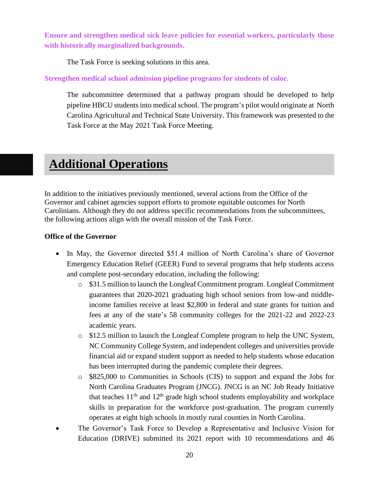**Ensure and strengthen medical sick leave policies for essential workers, particularly those with historically marginalized backgrounds.**

The Task Force is seeking solutions in this area.

**Strengthen medical school admission pipeline programs for students of color.**

The subcommittee determined that a pathway program should be developed to help pipeline HBCU students into medical school. The program's pilot would originate at North Carolina Agricultural and Technical State University. This framework was presented to the Task Force at the May 2021 Task Force Meeting.

### **Additional Operations**

In addition to the initiatives previously mentioned, several actions from the Office of the Governor and cabinet agencies support efforts to promote equitable outcomes for North Carolinians. Although they do not address specific recommendations from the subcommittees, the following actions align with the overall mission of the Task Force.

#### **Office of the Governor**

- In May, the Governor directed \$51.4 million of North Carolina's share of Governor Emergency Education Relief (GEER) Fund to several programs that help students access and complete post-secondary education, including the following:
	- o \$31.5 million to launch the Longleaf Commitment program. Longleaf Commitment guarantees that 2020-2021 graduating high school seniors from low-and middleincome families receive at least \$2,800 in federal and state grants for tuition and fees at any of the state's 58 community colleges for the 2021-22 and 2022-23 academic years.
	- o \$12.5 million to launch the Longleaf Complete program to help the UNC System, NC Community College System, and independent colleges and universities provide financial aid or expand student support as needed to help students whose education has been interrupted during the pandemic complete their degrees.
	- o \$825,000 to Communities in Schools (CIS) to support and expand the Jobs for North Carolina Graduates Program (JNCG). JNCG is an NC Job Ready Initiative that teaches  $11<sup>th</sup>$  and  $12<sup>th</sup>$  grade high school students employability and workplace skills in preparation for the workforce post-graduation. The program currently operates at eight high schools in mostly rural counties in North Carolina.
- The Governor's Task Force to Develop a Representative and Inclusive Vision for Education (DRIVE) submitted its 2021 report with 10 recommendations and 46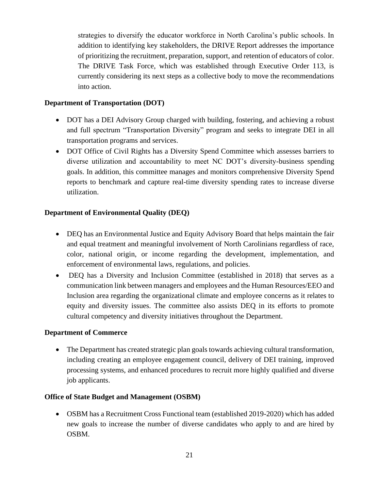strategies to diversify the educator workforce in North Carolina's public schools. In addition to identifying key stakeholders, the DRIVE Report addresses the importance of prioritizing the recruitment, preparation, support, and retention of educators of color. The DRIVE Task Force, which was established through Executive Order 113, is currently considering its next steps as a collective body to move the recommendations into action.

#### **Department of Transportation (DOT)**

- DOT has a DEI Advisory Group charged with building, fostering, and achieving a robust and full spectrum "Transportation Diversity" program and seeks to integrate DEI in all transportation programs and services.
- DOT Office of Civil Rights has a Diversity Spend Committee which assesses barriers to diverse utilization and accountability to meet NC DOT's diversity-business spending goals. In addition, this committee manages and monitors comprehensive Diversity Spend reports to benchmark and capture real-time diversity spending rates to increase diverse utilization.

#### **Department of Environmental Quality (DEQ)**

- DEQ has an Environmental Justice and Equity Advisory Board that helps maintain the fair and equal treatment and meaningful involvement of North Carolinians regardless of race, color, national origin, or income regarding the development, implementation, and enforcement of environmental laws, regulations, and policies.
- DEQ has a Diversity and Inclusion Committee (established in 2018) that serves as a communication link between managers and employees and the Human Resources/EEO and Inclusion area regarding the organizational climate and employee concerns as it relates to equity and diversity issues. The committee also assists DEQ in its efforts to promote cultural competency and diversity initiatives throughout the Department.

#### **Department of Commerce**

• The Department has created strategic plan goals towards achieving cultural transformation, including creating an employee engagement council, delivery of DEI training, improved processing systems, and enhanced procedures to recruit more highly qualified and diverse job applicants.

#### **Office of State Budget and Management (OSBM)**

• OSBM has a Recruitment Cross Functional team (established 2019-2020) which has added new goals to increase the number of diverse candidates who apply to and are hired by OSBM.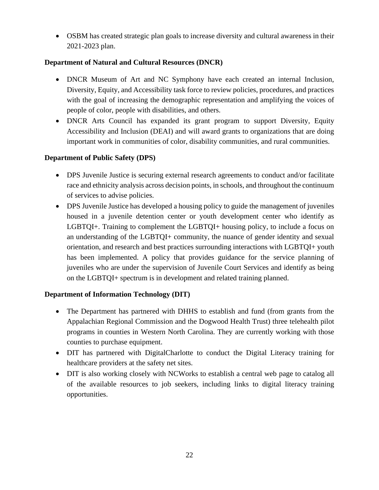• OSBM has created strategic plan goals to increase diversity and cultural awareness in their 2021-2023 plan.

#### **Department of Natural and Cultural Resources (DNCR)**

- DNCR Museum of Art and NC Symphony have each created an internal Inclusion, Diversity, Equity, and Accessibility task force to review policies, procedures, and practices with the goal of increasing the demographic representation and amplifying the voices of people of color, people with disabilities, and others.
- DNCR Arts Council has expanded its grant program to support Diversity, Equity Accessibility and Inclusion (DEAI) and will award grants to organizations that are doing important work in communities of color, disability communities, and rural communities.

#### **Department of Public Safety (DPS)**

- DPS Juvenile Justice is securing external research agreements to conduct and/or facilitate race and ethnicity analysis across decision points, in schools, and throughout the continuum of services to advise policies.
- DPS Juvenile Justice has developed a housing policy to guide the management of juveniles housed in a juvenile detention center or youth development center who identify as LGBTQI+. Training to complement the LGBTQI+ housing policy, to include a focus on an understanding of the LGBTQI+ community, the nuance of gender identity and sexual orientation, and research and best practices surrounding interactions with LGBTQI+ youth has been implemented. A policy that provides guidance for the service planning of juveniles who are under the supervision of Juvenile Court Services and identify as being on the LGBTQI+ spectrum is in development and related training planned.

#### **Department of Information Technology (DIT)**

- The Department has partnered with DHHS to establish and fund (from grants from the Appalachian Regional Commission and the Dogwood Health Trust) three telehealth pilot programs in counties in Western North Carolina. They are currently working with those counties to purchase equipment.
- DIT has partnered with DigitalCharlotte to conduct the Digital Literacy training for healthcare providers at the safety net sites.
- DIT is also working closely with NCWorks to establish a central web page to catalog all of the available resources to job seekers, including links to digital literacy training opportunities.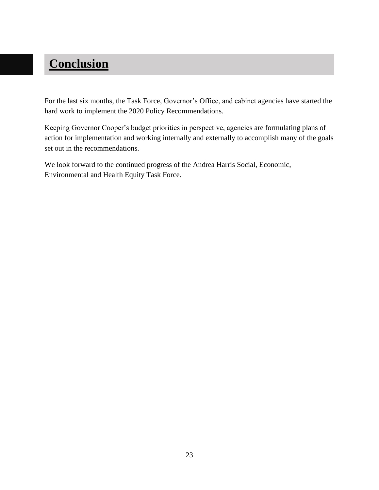# **Conclusion**

For the last six months, the Task Force, Governor's Office, and cabinet agencies have started the hard work to implement the 2020 Policy Recommendations.

Keeping Governor Cooper's budget priorities in perspective, agencies are formulating plans of action for implementation and working internally and externally to accomplish many of the goals set out in the recommendations.

We look forward to the continued progress of the Andrea Harris Social, Economic, Environmental and Health Equity Task Force.